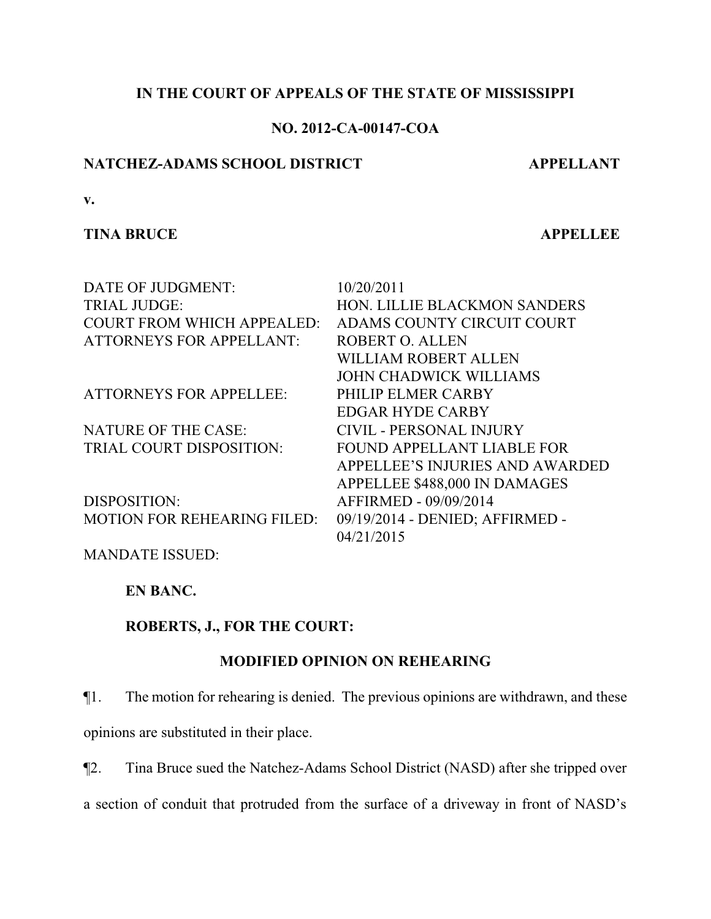## **IN THE COURT OF APPEALS OF THE STATE OF MISSISSIPPI**

## **NO. 2012-CA-00147-COA**

## **NATCHEZ-ADAMS SCHOOL DISTRICT APPELLANT**

**v.**

### **TINA BRUCE APPELLEE**

| DATE OF JUDGMENT:                  | 10/20/2011                             |
|------------------------------------|----------------------------------------|
| <b>TRIAL JUDGE:</b>                | HON. LILLIE BLACKMON SANDERS           |
| <b>COURT FROM WHICH APPEALED:</b>  | ADAMS COUNTY CIRCUIT COURT             |
| <b>ATTORNEYS FOR APPELLANT:</b>    | ROBERT O. ALLEN                        |
|                                    | WILLIAM ROBERT ALLEN                   |
|                                    | <b>JOHN CHADWICK WILLIAMS</b>          |
| <b>ATTORNEYS FOR APPELLEE:</b>     | PHILIP ELMER CARBY                     |
|                                    | <b>EDGAR HYDE CARBY</b>                |
| <b>NATURE OF THE CASE:</b>         | CIVIL - PERSONAL INJURY                |
| TRIAL COURT DISPOSITION:           | <b>FOUND APPELLANT LIABLE FOR</b>      |
|                                    | <b>APPELLEE'S INJURIES AND AWARDED</b> |
|                                    | APPELLEE \$488,000 IN DAMAGES          |
| DISPOSITION:                       | AFFIRMED - 09/09/2014                  |
| <b>MOTION FOR REHEARING FILED:</b> | 09/19/2014 - DENIED; AFFIRMED -        |
|                                    | 04/21/2015                             |
|                                    |                                        |

MANDATE ISSUED:

**EN BANC.**

**ROBERTS, J., FOR THE COURT:**

## **MODIFIED OPINION ON REHEARING**

¶1. The motion for rehearing is denied. The previous opinions are withdrawn, and these

opinions are substituted in their place.

¶2. Tina Bruce sued the Natchez-Adams School District (NASD) after she tripped over

a section of conduit that protruded from the surface of a driveway in front of NASD's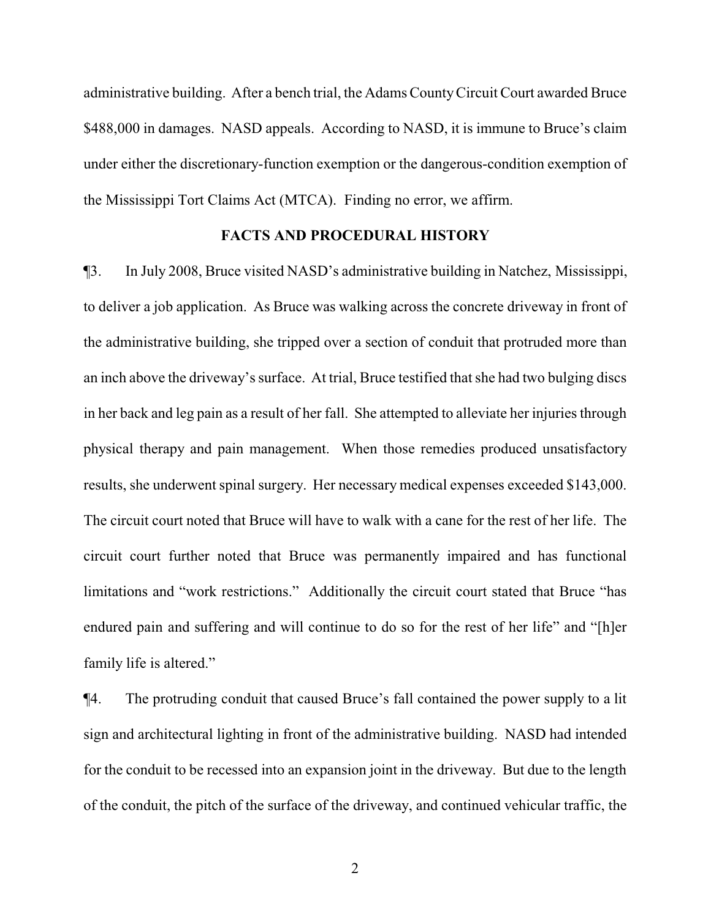administrative building. After a bench trial, the Adams CountyCircuit Court awarded Bruce \$488,000 in damages. NASD appeals. According to NASD, it is immune to Bruce's claim under either the discretionary-function exemption or the dangerous-condition exemption of the Mississippi Tort Claims Act (MTCA). Finding no error, we affirm.

#### **FACTS AND PROCEDURAL HISTORY**

¶3. In July 2008, Bruce visited NASD's administrative building in Natchez, Mississippi, to deliver a job application. As Bruce was walking across the concrete driveway in front of the administrative building, she tripped over a section of conduit that protruded more than an inch above the driveway's surface. At trial, Bruce testified that she had two bulging discs in her back and leg pain as a result of her fall. She attempted to alleviate her injuries through physical therapy and pain management. When those remedies produced unsatisfactory results, she underwent spinal surgery. Her necessary medical expenses exceeded \$143,000. The circuit court noted that Bruce will have to walk with a cane for the rest of her life. The circuit court further noted that Bruce was permanently impaired and has functional limitations and "work restrictions." Additionally the circuit court stated that Bruce "has endured pain and suffering and will continue to do so for the rest of her life" and "[h]er family life is altered."

¶4. The protruding conduit that caused Bruce's fall contained the power supply to a lit sign and architectural lighting in front of the administrative building. NASD had intended for the conduit to be recessed into an expansion joint in the driveway. But due to the length of the conduit, the pitch of the surface of the driveway, and continued vehicular traffic, the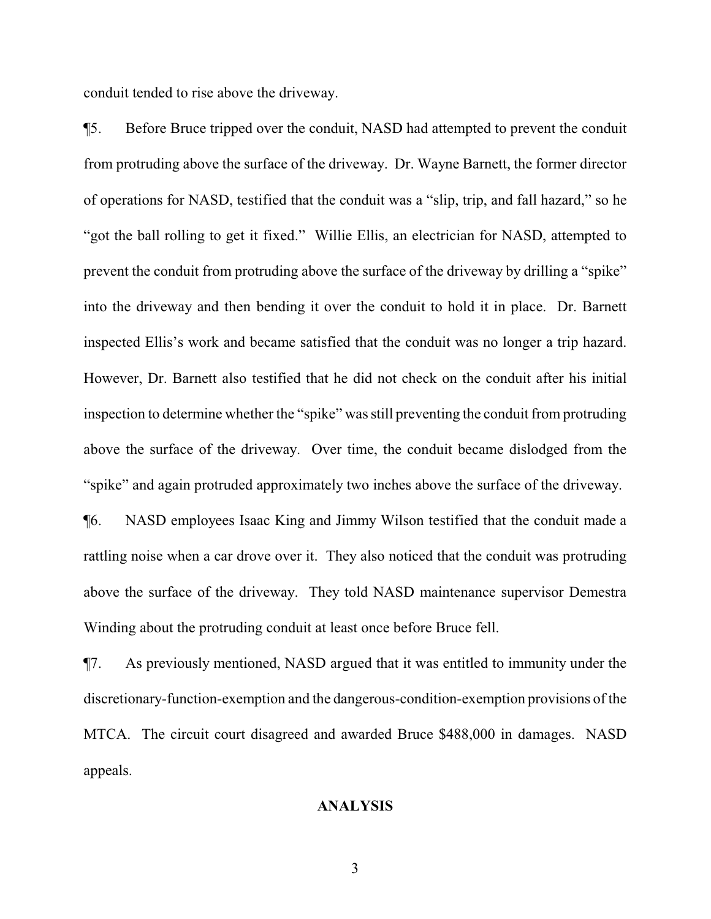conduit tended to rise above the driveway.

¶5. Before Bruce tripped over the conduit, NASD had attempted to prevent the conduit from protruding above the surface of the driveway. Dr. Wayne Barnett, the former director of operations for NASD, testified that the conduit was a "slip, trip, and fall hazard," so he "got the ball rolling to get it fixed." Willie Ellis, an electrician for NASD, attempted to prevent the conduit from protruding above the surface of the driveway by drilling a "spike" into the driveway and then bending it over the conduit to hold it in place. Dr. Barnett inspected Ellis's work and became satisfied that the conduit was no longer a trip hazard. However, Dr. Barnett also testified that he did not check on the conduit after his initial inspection to determine whether the "spike" wasstill preventing the conduit from protruding above the surface of the driveway. Over time, the conduit became dislodged from the "spike" and again protruded approximately two inches above the surface of the driveway.

¶6. NASD employees Isaac King and Jimmy Wilson testified that the conduit made a rattling noise when a car drove over it. They also noticed that the conduit was protruding above the surface of the driveway. They told NASD maintenance supervisor Demestra Winding about the protruding conduit at least once before Bruce fell.

¶7. As previously mentioned, NASD argued that it was entitled to immunity under the discretionary-function-exemption and the dangerous-condition-exemption provisions of the MTCA. The circuit court disagreed and awarded Bruce \$488,000 in damages. NASD appeals.

## **ANALYSIS**

3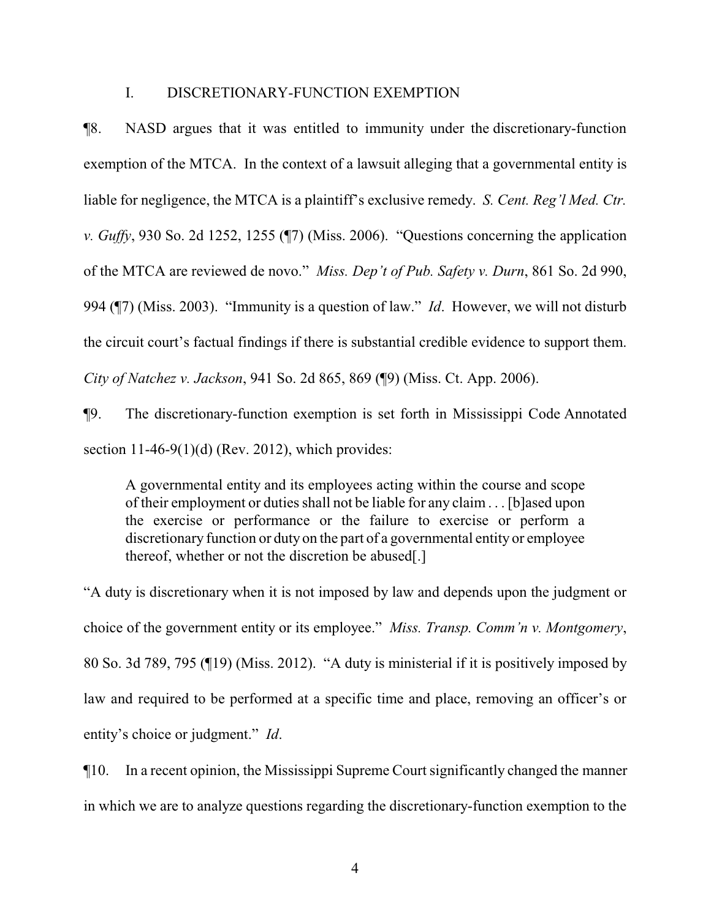#### I. DISCRETIONARY-FUNCTION EXEMPTION

¶8. NASD argues that it was entitled to immunity under the discretionary-function exemption of the MTCA. In the context of a lawsuit alleging that a governmental entity is liable for negligence, the MTCA is a plaintiff's exclusive remedy. *S. Cent. Reg'l Med. Ctr. v. Guffy*, 930 So. 2d 1252, 1255 (¶7) (Miss. 2006). "Questions concerning the application of the MTCA are reviewed de novo." *Miss. Dep't of Pub. Safety v. Durn*, 861 So. 2d 990, 994 (¶7) (Miss. 2003). "Immunity is a question of law." *Id*. However, we will not disturb the circuit court's factual findings if there is substantial credible evidence to support them. *City of Natchez v. Jackson*, 941 So. 2d 865, 869 (¶9) (Miss. Ct. App. 2006).

¶9. The discretionary-function exemption is set forth in Mississippi Code Annotated section  $11-46-9(1)(d)$  (Rev. 2012), which provides:

A governmental entity and its employees acting within the course and scope of their employment or duties shall not be liable for any claim . . . [b]ased upon the exercise or performance or the failure to exercise or perform a discretionary function or duty on the part of a governmental entity or employee thereof, whether or not the discretion be abused.

"A duty is discretionary when it is not imposed by law and depends upon the judgment or choice of the government entity or its employee." *Miss. Transp. Comm'n v. Montgomery*, 80 So. 3d 789, 795 (¶19) (Miss. 2012). "A duty is ministerial if it is positively imposed by law and required to be performed at a specific time and place, removing an officer's or entity's choice or judgment." *Id*.

¶10. In a recent opinion, the Mississippi Supreme Court significantly changed the manner in which we are to analyze questions regarding the discretionary-function exemption to the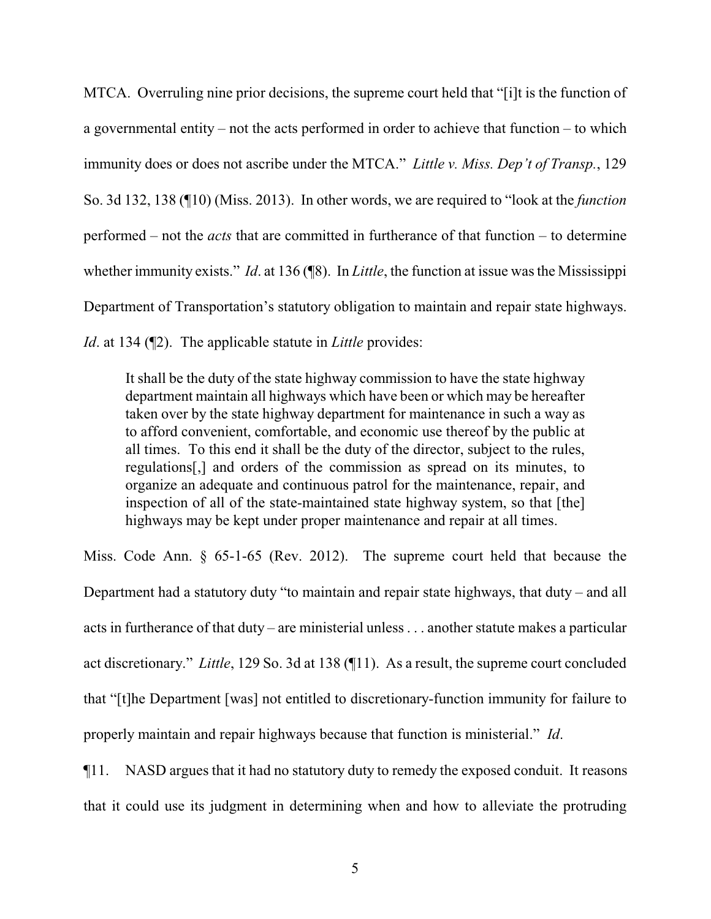MTCA. Overruling nine prior decisions, the supreme court held that "[i]t is the function of a governmental entity – not the acts performed in order to achieve that function – to which immunity does or does not ascribe under the MTCA." *Little v. Miss. Dep't of Transp.*, 129 So. 3d 132, 138 (¶10) (Miss. 2013). In other words, we are required to "look at the *function* performed – not the *acts* that are committed in furtherance of that function – to determine whether immunity exists." *Id*. at 136 (¶8). In *Little*, the function at issue was the Mississippi Department of Transportation's statutory obligation to maintain and repair state highways. *Id.* at 134 ( $\mathbb{Z}$ ). The applicable statute in *Little* provides:

It shall be the duty of the state highway commission to have the state highway department maintain all highways which have been or which may be hereafter taken over by the state highway department for maintenance in such a way as to afford convenient, comfortable, and economic use thereof by the public at all times. To this end it shall be the duty of the director, subject to the rules, regulations[,] and orders of the commission as spread on its minutes, to organize an adequate and continuous patrol for the maintenance, repair, and inspection of all of the state-maintained state highway system, so that [the] highways may be kept under proper maintenance and repair at all times.

Miss. Code Ann. § 65-1-65 (Rev. 2012). The supreme court held that because the Department had a statutory duty "to maintain and repair state highways, that duty – and all acts in furtherance of that duty – are ministerial unless . . . another statute makes a particular act discretionary." *Little*, 129 So. 3d at 138 (¶11). As a result, the supreme court concluded that "[t]he Department [was] not entitled to discretionary-function immunity for failure to properly maintain and repair highways because that function is ministerial." *Id*.

¶11. NASD argues that it had no statutory duty to remedy the exposed conduit. It reasons that it could use its judgment in determining when and how to alleviate the protruding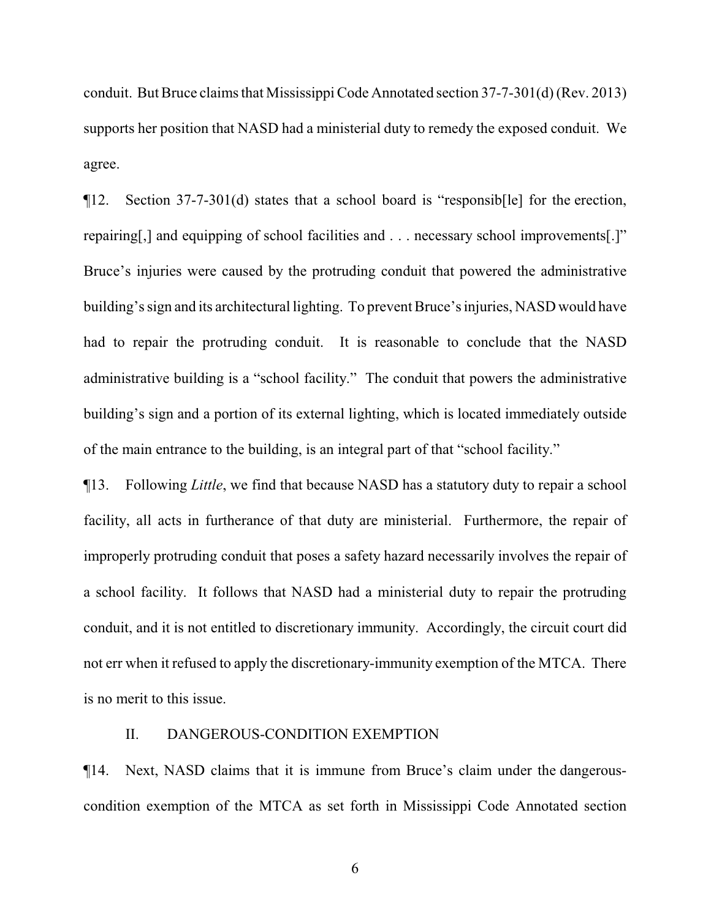conduit. But Bruce claims that Mississippi Code Annotated section 37-7-301(d) (Rev. 2013) supports her position that NASD had a ministerial duty to remedy the exposed conduit. We agree.

¶12. Section 37-7-301(d) states that a school board is "responsib[le] for the erection, repairing[,] and equipping of school facilities and . . . necessary school improvements[.]" Bruce's injuries were caused by the protruding conduit that powered the administrative building's sign and its architectural lighting. To prevent Bruce's injuries, NASD would have had to repair the protruding conduit. It is reasonable to conclude that the NASD administrative building is a "school facility." The conduit that powers the administrative building's sign and a portion of its external lighting, which is located immediately outside of the main entrance to the building, is an integral part of that "school facility."

¶13. Following *Little*, we find that because NASD has a statutory duty to repair a school facility, all acts in furtherance of that duty are ministerial. Furthermore, the repair of improperly protruding conduit that poses a safety hazard necessarily involves the repair of a school facility. It follows that NASD had a ministerial duty to repair the protruding conduit, and it is not entitled to discretionary immunity. Accordingly, the circuit court did not err when it refused to apply the discretionary-immunity exemption of the MTCA. There is no merit to this issue.

## II. DANGEROUS-CONDITION EXEMPTION

¶14. Next, NASD claims that it is immune from Bruce's claim under the dangerouscondition exemption of the MTCA as set forth in Mississippi Code Annotated section

6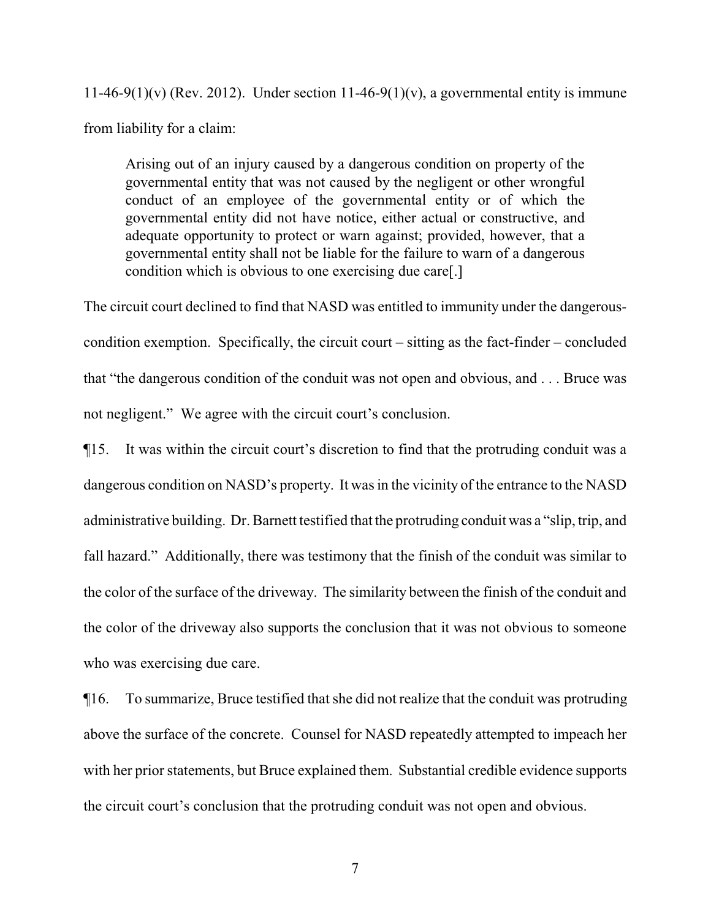11-46-9(1)(v) (Rev. 2012). Under section 11-46-9(1)(v), a governmental entity is immune from liability for a claim:

Arising out of an injury caused by a dangerous condition on property of the governmental entity that was not caused by the negligent or other wrongful conduct of an employee of the governmental entity or of which the governmental entity did not have notice, either actual or constructive, and adequate opportunity to protect or warn against; provided, however, that a governmental entity shall not be liable for the failure to warn of a dangerous condition which is obvious to one exercising due care[.]

The circuit court declined to find that NASD was entitled to immunity under the dangerouscondition exemption. Specifically, the circuit court – sitting as the fact-finder – concluded that "the dangerous condition of the conduit was not open and obvious, and . . . Bruce was not negligent." We agree with the circuit court's conclusion.

¶15. It was within the circuit court's discretion to find that the protruding conduit was a dangerous condition on NASD's property. It was in the vicinity of the entrance to the NASD administrative building. Dr. Barnett testified that the protruding conduit was a "slip, trip, and fall hazard." Additionally, there was testimony that the finish of the conduit was similar to the color of the surface of the driveway. The similarity between the finish of the conduit and the color of the driveway also supports the conclusion that it was not obvious to someone who was exercising due care.

¶16. To summarize, Bruce testified that she did not realize that the conduit was protruding above the surface of the concrete. Counsel for NASD repeatedly attempted to impeach her with her prior statements, but Bruce explained them. Substantial credible evidence supports the circuit court's conclusion that the protruding conduit was not open and obvious.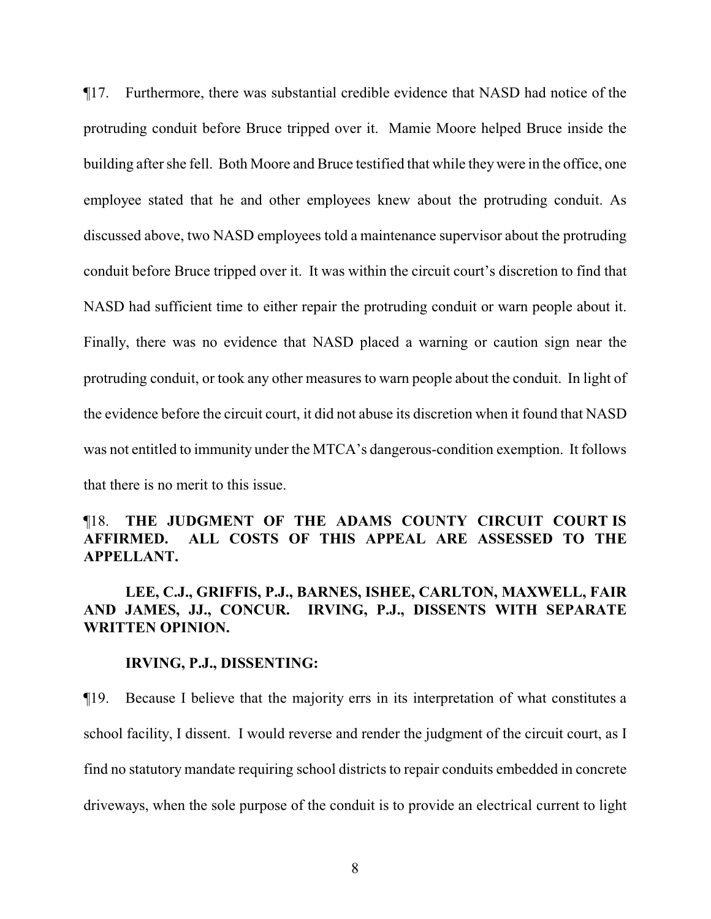¶17. Furthermore, there was substantial credible evidence that NASD had notice of the protruding conduit before Bruce tripped over it. Mamie Moore helped Bruce inside the building after she fell. Both Moore and Bruce testified that while theywere in the office, one employee stated that he and other employees knew about the protruding conduit. As discussed above, two NASD employees told a maintenance supervisor about the protruding conduit before Bruce tripped over it. It was within the circuit court's discretion to find that NASD had sufficient time to either repair the protruding conduit or warn people about it. Finally, there was no evidence that NASD placed a warning or caution sign near the protruding conduit, or took any other measures to warn people about the conduit. In light of the evidence before the circuit court, it did not abuse its discretion when it found that NASD was not entitled to immunity under the MTCA's dangerous-condition exemption. It follows that there is no merit to this issue.

# ¶18. **THE JUDGMENT OF THE ADAMS COUNTY CIRCUIT COURT IS AFFIRMED. ALL COSTS OF THIS APPEAL ARE ASSESSED TO THE APPELLANT.**

## **LEE, C.J., GRIFFIS, P.J., BARNES, ISHEE, CARLTON, MAXWELL, FAIR AND JAMES, JJ., CONCUR. IRVING, P.J., DISSENTS WITH SEPARATE WRITTEN OPINION.**

#### **IRVING, P.J., DISSENTING:**

¶19. Because I believe that the majority errs in its interpretation of what constitutes a school facility, I dissent. I would reverse and render the judgment of the circuit court, as I find no statutory mandate requiring school districts to repair conduits embedded in concrete driveways, when the sole purpose of the conduit is to provide an electrical current to light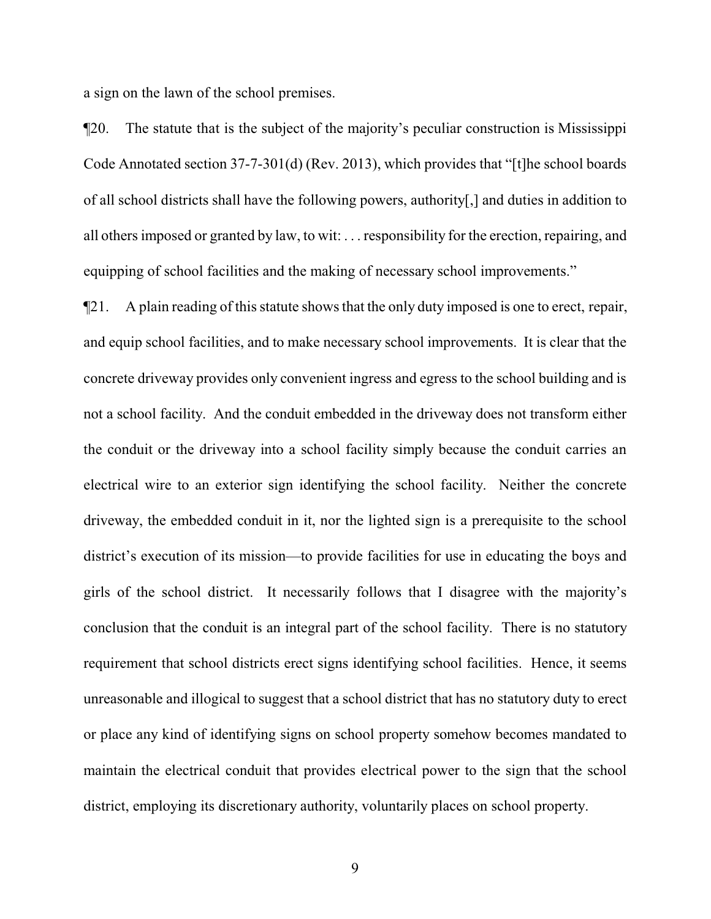a sign on the lawn of the school premises.

¶20. The statute that is the subject of the majority's peculiar construction is Mississippi Code Annotated section 37-7-301(d) (Rev. 2013), which provides that "[t]he school boards of all school districts shall have the following powers, authority[,] and duties in addition to all others imposed or granted by law, to wit: . . . responsibility for the erection, repairing, and equipping of school facilities and the making of necessary school improvements."

¶21. A plain reading of this statute shows that the only duty imposed is one to erect, repair, and equip school facilities, and to make necessary school improvements. It is clear that the concrete driveway provides only convenient ingress and egress to the school building and is not a school facility. And the conduit embedded in the driveway does not transform either the conduit or the driveway into a school facility simply because the conduit carries an electrical wire to an exterior sign identifying the school facility. Neither the concrete driveway, the embedded conduit in it, nor the lighted sign is a prerequisite to the school district's execution of its mission—to provide facilities for use in educating the boys and girls of the school district. It necessarily follows that I disagree with the majority's conclusion that the conduit is an integral part of the school facility. There is no statutory requirement that school districts erect signs identifying school facilities. Hence, it seems unreasonable and illogical to suggest that a school district that has no statutory duty to erect or place any kind of identifying signs on school property somehow becomes mandated to maintain the electrical conduit that provides electrical power to the sign that the school district, employing its discretionary authority, voluntarily places on school property.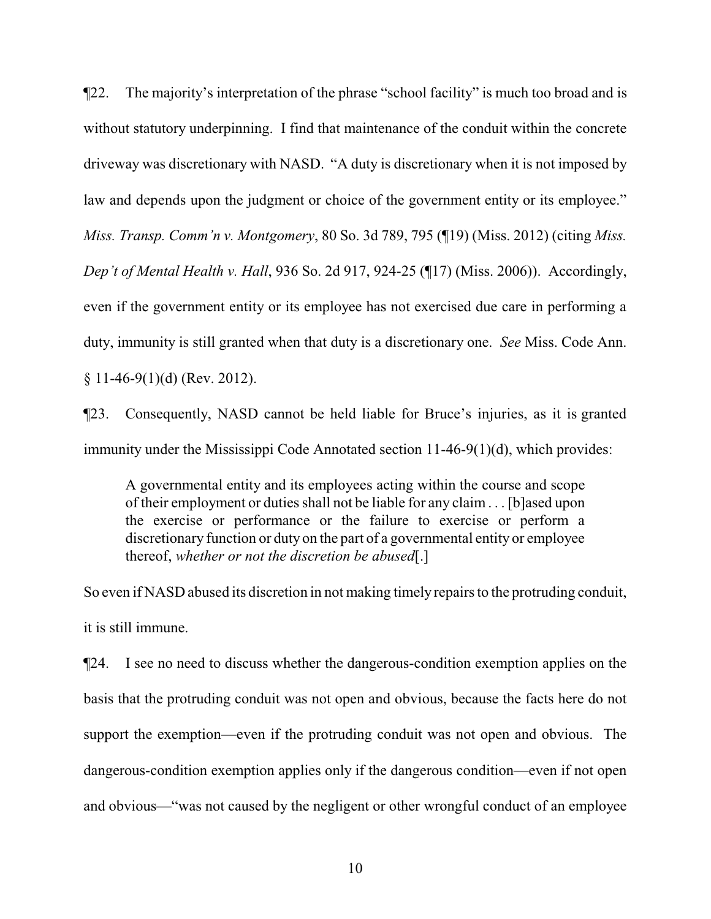¶22. The majority's interpretation of the phrase "school facility" is much too broad and is without statutory underpinning. I find that maintenance of the conduit within the concrete driveway was discretionary with NASD. "A duty is discretionary when it is not imposed by law and depends upon the judgment or choice of the government entity or its employee." *Miss. Transp. Comm'n v. Montgomery*, 80 So. 3d 789, 795 (¶19) (Miss. 2012) (citing *Miss. Dep't of Mental Health v. Hall*, 936 So. 2d 917, 924-25 (¶17) (Miss. 2006)). Accordingly, even if the government entity or its employee has not exercised due care in performing a duty, immunity is still granted when that duty is a discretionary one. *See* Miss. Code Ann.  $§ 11-46-9(1)(d)$  (Rev. 2012).

¶23. Consequently, NASD cannot be held liable for Bruce's injuries, as it is granted immunity under the Mississippi Code Annotated section 11-46-9(1)(d), which provides:

A governmental entity and its employees acting within the course and scope of their employment or duties shall not be liable for any claim . . . [b]ased upon the exercise or performance or the failure to exercise or perform a discretionary function or duty on the part of a governmental entity or employee thereof, *whether or not the discretion be abused*[.]

So even if NASD abused its discretion in not making timely repairs to the protruding conduit, it is still immune.

¶24. I see no need to discuss whether the dangerous-condition exemption applies on the basis that the protruding conduit was not open and obvious, because the facts here do not support the exemption—even if the protruding conduit was not open and obvious. The dangerous-condition exemption applies only if the dangerous condition—even if not open and obvious—"was not caused by the negligent or other wrongful conduct of an employee